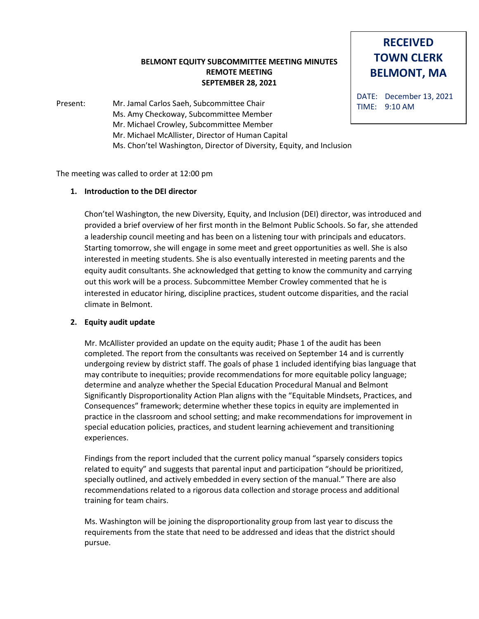## **BELMONT EQUITY SUBCOMMITTEE MEETING MINUTES REMOTE MEETING SEPTEMBER 28, 2021**

## **TOWN CLERK BELMONT, MA**

Present: Mr. Jamal Carlos Saeh, Subcommittee Chair Ms. Amy Checkoway, Subcommittee Member Mr. Michael Crowley, Subcommittee Member Mr. Michael McAllister, Director of Human Capital Ms. Chon'tel Washington, Director of Diversity, Equity, and Inclusion

The meeting was called to order at 12:00 pm

## **1. Introduction to the DEI director**

Chon'tel Washington, the new Diversity, Equity, and Inclusion (DEI) director, was introduced and provided a brief overview of her first month in the Belmont Public Schools. So far, she attended a leadership council meeting and has been on a listening tour with principals and educators. Starting tomorrow, she will engage in some meet and greet opportunities as well. She is also interested in meeting students. She is also eventually interested in meeting parents and the equity audit consultants. She acknowledged that getting to know the community and carrying out this work will be a process. Subcommittee Member Crowley commented that he is interested in educator hiring, discipline practices, student outcome disparities, and the racial climate in Belmont.

## **2. Equity audit update**

Mr. McAllister provided an update on the equity audit; Phase 1 of the audit has been completed. The report from the consultants was received on September 14 and is currently undergoing review by district staff. The goals of phase 1 included identifying bias language that may contribute to inequities; provide recommendations for more equitable policy language; determine and analyze whether the Special Education Procedural Manual and Belmont Significantly Disproportionality Action Plan aligns with the "Equitable Mindsets, Practices, and Consequences" framework; determine whether these topics in equity are implemented in practice in the classroom and school setting; and make recommendations for improvement in special education policies, practices, and student learning achievement and transitioning experiences.

Findings from the report included that the current policy manual "sparsely considers topics related to equity" and suggests that parental input and participation "should be prioritized, specially outlined, and actively embedded in every section of the manual." There are also recommendations related to a rigorous data collection and storage process and additional training for team chairs.

Ms. Washington will be joining the disproportionality group from last year to discuss the requirements from the state that need to be addressed and ideas that the district should pursue.

DATE: December 13, 2021 TIME: 9:10 AM

**RECEIVED**